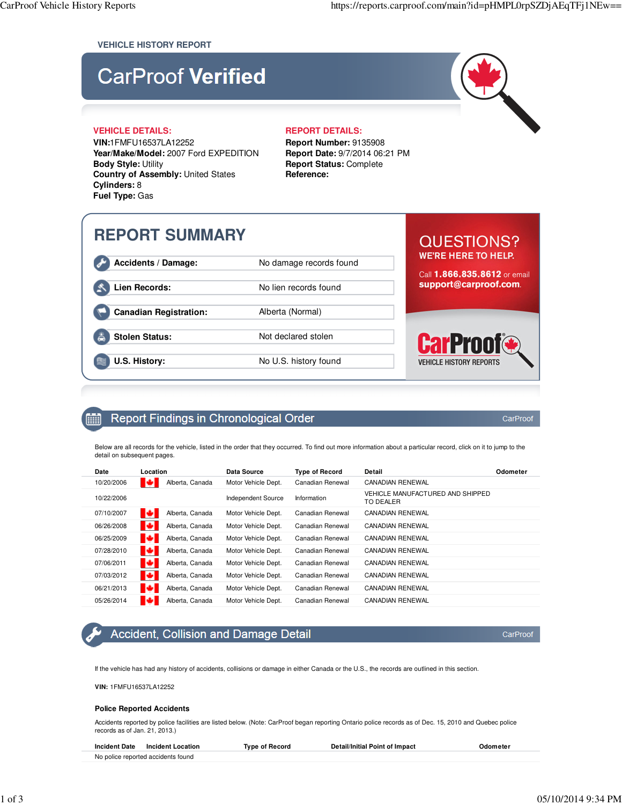### **VEHICLE HISTORY REPORT**

# **CarProof Verified**

### **VEHICLE DETAILS: REPORT DETAILS:**

**VIN:**1FMFU16537LA12252 **Year/Make/Model:** 2007 Ford EXPEDITION **Body Style:** Utility **Country of Assembly:** United States **Cylinders:** 8 **Fuel Type:** Gas

**Report Number:** 9135908 **Report Date:** 9/7/2014 06:21 PM **Report Status:** Complete **Reference:**

# **REPORT SUMMARY**

Accidents / Damage: No damage records found

Lien Records: No lien records found

**Canadian Registration:** Alberta (Normal)

**Stolen Status:** Not declared stolen

**U.S. History:** No U.S. history found

### **QUESTIONS? WE'RE HERE TO HELP.**

Call 1.866.835.8612 or email support@carproof.com.



CarProof

CarProof

#### Report Findings in Chronological Order **FOR A**

Below are all records for the vehicle, listed in the order that they occurred. To find out more information about a particular record, click on it to jump to the detail on subsequent pages.

| Date       | Location             | Data Source         | <b>Type of Record</b> | Detail                                        | Odometer |
|------------|----------------------|---------------------|-----------------------|-----------------------------------------------|----------|
| 10/20/2006 | Alberta, Canada<br>ю | Motor Vehicle Dept. | Canadian Renewal      | CANADIAN RENEWAL                              |          |
| 10/22/2006 |                      | Independent Source  | Information           | VEHICLE MANUFACTURED AND SHIPPED<br>TO DEALER |          |
| 07/10/2007 | ю<br>Alberta, Canada | Motor Vehicle Dept. | Canadian Renewal      | CANADIAN RENEWAL                              |          |
| 06/26/2008 | ю<br>Alberta, Canada | Motor Vehicle Dept. | Canadian Renewal      | CANADIAN RENEWAL                              |          |
| 06/25/2009 | ю<br>Alberta, Canada | Motor Vehicle Dept. | Canadian Renewal      | CANADIAN RENEWAL                              |          |
| 07/28/2010 | ю<br>Alberta, Canada | Motor Vehicle Dept. | Canadian Renewal      | <b>CANADIAN RENEWAL</b>                       |          |
| 07/06/2011 | ю<br>Alberta, Canada | Motor Vehicle Dept. | Canadian Renewal      | CANADIAN RENEWAL                              |          |
| 07/03/2012 | ю<br>Alberta, Canada | Motor Vehicle Dept. | Canadian Renewal      | CANADIAN RENEWAL                              |          |
| 06/21/2013 | ю<br>Alberta, Canada | Motor Vehicle Dept. | Canadian Renewal      | <b>CANADIAN RENEWAL</b>                       |          |
| 05/26/2014 | ю<br>Alberta, Canada | Motor Vehicle Dept. | Canadian Renewal      | CANADIAN RENEWAL                              |          |

### Accident, Collision and Damage Detail

If the vehicle has had any history of accidents, collisions or damage in either Canada or the U.S., the records are outlined in this section.

**VIN:** 1FMFU16537LA12252

#### **Police Reported Accidents**

Accidents reported by police facilities are listed below. (Note: CarProof began reporting Ontario police records as of Dec. 15, 2010 and Quebec police records as of Jan. 21, 2013.)

| <b>Incident Date</b><br><b>Incident Location</b> | Tvpe of Record | Detail/Initial Point of Impact | <b>Ddometei</b> |
|--------------------------------------------------|----------------|--------------------------------|-----------------|
| No police reported accidents found               |                |                                |                 |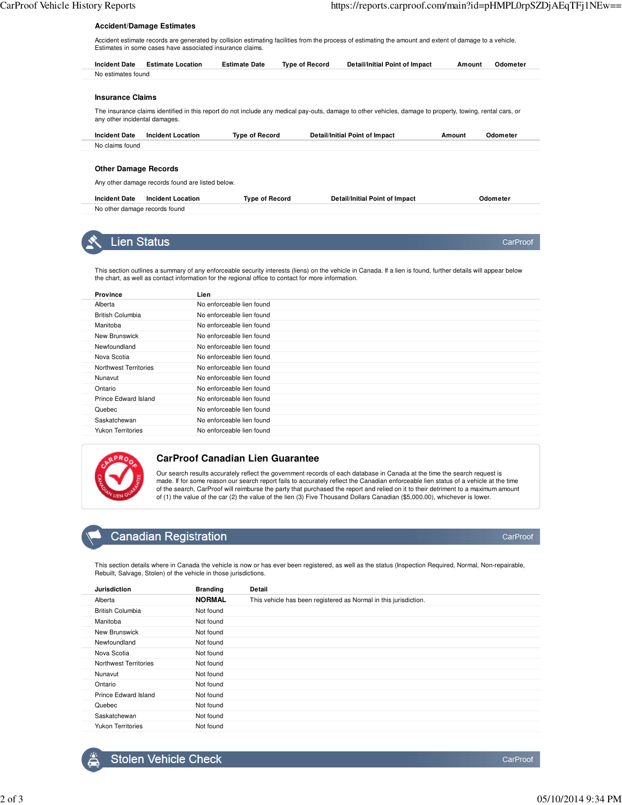CarProof

#### **Accident/Damage Estimates**

Accident estimate records are generated by collision estimating facilities from the process of estimating the amount and extent of damage to a vehicle. Estimates in some cases have associated insurance claims.

| <b>Incident Date</b>          | <b>Estimate Location</b> | <b>Estimate Date</b>  | <b>Type of Record</b> | Detail/Initial Point of Impact                                                                                                                            | Amount | Odometer |
|-------------------------------|--------------------------|-----------------------|-----------------------|-----------------------------------------------------------------------------------------------------------------------------------------------------------|--------|----------|
| No estimates found            |                          |                       |                       |                                                                                                                                                           |        |          |
|                               |                          |                       |                       |                                                                                                                                                           |        |          |
| <b>Insurance Claims</b>       |                          |                       |                       |                                                                                                                                                           |        |          |
|                               |                          |                       |                       |                                                                                                                                                           |        |          |
| any other incidental damages. |                          |                       |                       | The insurance claims identified in this report do not include any medical pay-outs, damage to other vehicles, damage to property, towing, rental cars, or |        |          |
| <b>Incident Date</b>          | <b>Incident Location</b> | <b>Type of Record</b> |                       | Detail/Initial Point of Impact                                                                                                                            | Amount | Odometer |
| No claims found               |                          |                       |                       |                                                                                                                                                           |        |          |
|                               |                          |                       |                       |                                                                                                                                                           |        |          |
| <b>Other Damage Records</b>   |                          |                       |                       |                                                                                                                                                           |        |          |

| <b>Incident Location</b><br><b>Incident Date</b> | Tvpe of Record | Detail/Initial Point of Impact | Odometer |
|--------------------------------------------------|----------------|--------------------------------|----------|
| No other damage records found                    |                |                                |          |



### **Lien Status**

This section outlines a summary of any enforceable security interests (liens) on the vehicle in Canada. If a lien is found, further details will appear below the chart, as well as contact information for the regional office to contact for more information.

| <b>Province</b>          | Lien                      |
|--------------------------|---------------------------|
| Alberta                  | No enforceable lien found |
| British Columbia         | No enforceable lien found |
| Manitoba                 | No enforceable lien found |
| New Brunswick            | No enforceable lien found |
| Newfoundland             | No enforceable lien found |
| Nova Scotia              | No enforceable lien found |
| Northwest Territories    | No enforceable lien found |
| Nunavut                  | No enforceable lien found |
| Ontario                  | No enforceable lien found |
| Prince Edward Island     | No enforceable lien found |
| Quebec                   | No enforceable lien found |
| Saskatchewan             | No enforceable lien found |
| <b>Yukon Territories</b> | No enforceable lien found |
|                          |                           |



### **CarProof Canadian Lien Guarantee**

Our search results accurately reflect the government records of each database in Canada at the time the search request is<br>made. If for some reason our search report fails to accurately reflect the Canadian enforceable lien of the search, CarProof will reimburse the party that purchased the report and relied on it to their detriment to a maximum amount of (1) the value of the car (2) the value of the lien (3) Five Thousand Dollars Canadian (\$5,000.00), whichever is lower.

### **Canadian Registration**

This section details where in Canada the vehicle is now or has ever been registered, as well as the status (Inspection Required, Normal, Non-repairable, Rebuilt, Salvage, Stolen) of the vehicle in those jurisdictions.

| <b>Jurisdiction</b>      | <b>Branding</b> | Detail                                                           |
|--------------------------|-----------------|------------------------------------------------------------------|
| Alberta                  | <b>NORMAL</b>   | This vehicle has been registered as Normal in this jurisdiction. |
| <b>British Columbia</b>  | Not found       |                                                                  |
| Manitoba                 | Not found       |                                                                  |
| New Brunswick            | Not found       |                                                                  |
| Newfoundland             | Not found       |                                                                  |
| Nova Scotia              | Not found       |                                                                  |
| Northwest Territories    | Not found       |                                                                  |
| Nunavut                  | Not found       |                                                                  |
| Ontario                  | Not found       |                                                                  |
| Prince Edward Island     | Not found       |                                                                  |
| Quebec                   | Not found       |                                                                  |
| Saskatchewan             | Not found       |                                                                  |
| <b>Yukon Territories</b> | Not found       |                                                                  |



CarProof

CarProof